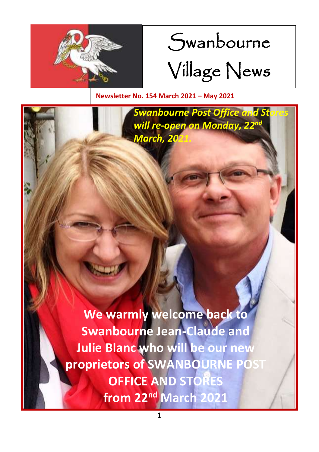

# Swanbourne

Village News

**Newsletter No. 154 March 2021 – May 2021**

**Swanbourne Post Office and Stores** *will re-open on Monday, 22nd March, 2021* 

**VICE AND STORES**  $\frac{1}{2}$  from 22<sup>nd</sup> M<sub>arch</sub> 2021 **best 10 maintain millennium Wood from 22<sup>nd</sup> March 2021 We warmly welcome back to Swanbourne Jean-Claude and Julie Blanc who will be our new proprietors of SWANBOURNE POST**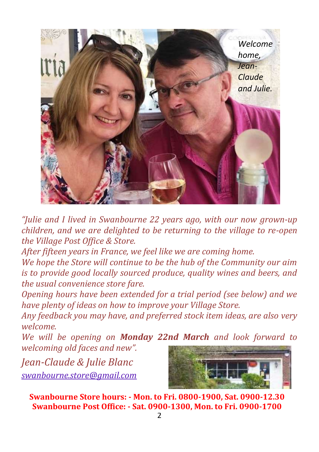

*"Julie and I lived in Swanbourne 22 years ago, with our now grown-up children, and we are delighted to be returning to the village to re-open the Village Post Office & Store.*

*After fifteen years in France, we feel like we are coming home.* 

*We hope the Store will continue to be the hub of the Community our aim is to provide good locally sourced produce, quality wines and beers, and the usual convenience store fare.* 

*Opening hours have been extended for a trial period (see below) and we have plenty of ideas on how to improve your Village Store.* 

*Any feedback you may have, and preferred stock item ideas, are also very welcome.*

*We will be opening on Monday 22nd March and look forward to welcoming old faces and new".*

*Jean-Claude & Julie Blanc [swanbourne.store@gmail.com](mailto:swanbourne.store@gmail.com)*



**Swanbourne Store hours: - Mon. to Fri. 0800-1900, Sat. 0900-12.30 Swanbourne Post Office: - Sat. 0900-1300, Mon. to Fri. 0900-1700**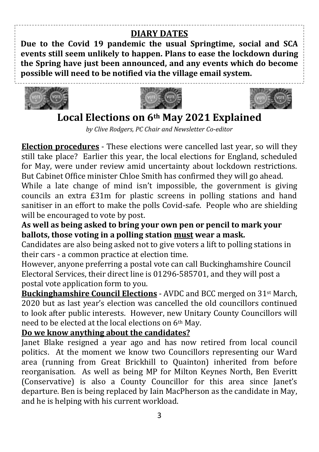## **DIARY DATES**

**Due to the Covid 19 pandemic the usual Springtime, social and SCA events still seem unlikely to happen. Plans to ease the lockdown during the Spring have just been announced, and any events which do become possible will need to be notified via the village email system.**







## **Local Elections on 6th May 2021 Explained**

*by Clive Rodgers, PC Chair and Newsletter Co-editor*

**Election procedures** - These elections were cancelled last year, so will they still take place? Earlier this year, the local elections for England, scheduled for May, were under review amid uncertainty about lockdown restrictions. But Cabinet Office minister Chloe Smith has confirmed they will go ahead.

While a late change of mind isn't impossible, the government is giving councils an extra £31m for plastic screens in polling stations and hand sanitiser in an effort to make the polls Covid-safe. People who are shielding will be encouraged to vote by post.

## **As well as being asked to bring your own pen or pencil to mark your ballots, those voting in a polling station must wear a mask.**

Candidates are also being asked not to give voters a lift to polling stations in their cars - a common practice at election time.

However, anyone preferring a postal vote can call Buckinghamshire Council Electoral Services, their direct line is 01296-585701, and they will post a postal vote application form to you.

**Buckinghamshire Council Elections** - AVDC and BCC merged on 31st March, 2020 but as last year's election was cancelled the old councillors continued to look after public interests. However, new Unitary County Councillors will need to be elected at the local elections on 6th May.

## **Do we know anything about the candidates?**

Janet Blake resigned a year ago and has now retired from local council politics. At the moment we know two Councillors representing our Ward area (running from Great Brickhill to Quainton) inherited from before reorganisation. As well as being MP for Milton Keynes North, Ben Everitt (Conservative) is also a County Councillor for this area since Janet's departure. Ben is being replaced by Iain MacPherson as the candidate in May, and he is helping with his current workload.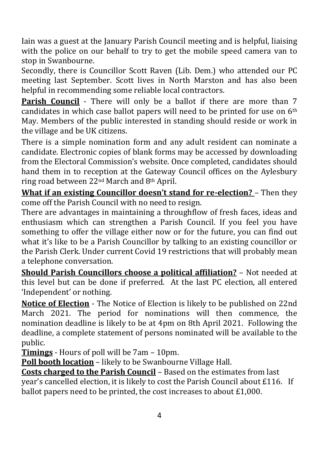Iain was a guest at the January Parish Council meeting and is helpful, liaising with the police on our behalf to try to get the mobile speed camera van to stop in Swanbourne.

Secondly, there is Councillor Scott Raven (Lib. Dem.) who attended our PC meeting last September. Scott lives in North Marston and has also been helpful in recommending some reliable local contractors.

**Parish Council** - There will only be a ballot if there are more than 7 candidates in which case ballot papers will need to be printed for use on 6th May. Members of the public interested in standing should reside or work in the village and be UK citizens.

There is a simple nomination form and any adult resident can nominate a candidate. Electronic copies of blank forms may be accessed by downloading from the Electoral Commission's website. Once completed, candidates should hand them in to reception at the Gateway Council offices on the Aylesbury ring road between 22nd March and 8th April.

**What if an existing Councillor doesn't stand for re-election?** – Then they come off the Parish Council with no need to resign.

There are advantages in maintaining a throughflow of fresh faces, ideas and enthusiasm which can strengthen a Parish Council. If you feel you have something to offer the village either now or for the future, you can find out what it's like to be a Parish Councillor by talking to an existing councillor or the Parish Clerk. Under current Covid 19 restrictions that will probably mean a telephone conversation.

**Should Parish Councillors choose a political affiliation?** – Not needed at this level but can be done if preferred. At the last PC election, all entered 'Independent' or nothing.

**Notice of Election** - The Notice of Election is likely to be published on 22nd March 2021. The period for nominations will then commence, the nomination deadline is likely to be at 4pm on 8th April 2021. Following the deadline, a complete statement of persons nominated will be available to the public.

**Timings** - Hours of poll will be 7am – 10pm.

**Poll booth location** – likely to be Swanbourne Village Hall.

**Costs charged to the Parish Council** – Based on the estimates from last year's cancelled election, it is likely to cost the Parish Council about £116. If ballot papers need to be printed, the cost increases to about £1,000.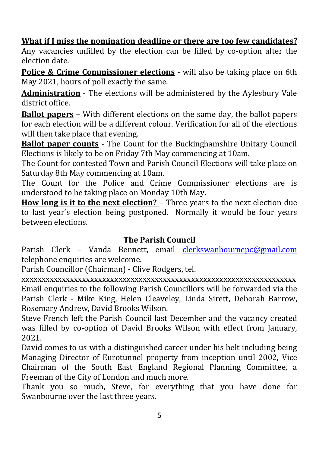## **What if I miss the nomination deadline or there are too few candidates?**

Any vacancies unfilled by the election can be filled by co-option after the election date.

**Police & Crime Commissioner elections** - will also be taking place on 6th May 2021, hours of poll exactly the same.

**Administration** - The elections will be administered by the Aylesbury Vale district office.

**Ballot papers** – With different elections on the same day, the ballot papers for each election will be a different colour. Verification for all of the elections will then take place that evening.

**Ballot paper counts** - The Count for the Buckinghamshire Unitary Council Elections is likely to be on Friday 7th May commencing at 10am.

The Count for contested Town and Parish Council Elections will take place on Saturday 8th May commencing at 10am.

The Count for the Police and Crime Commissioner elections are is understood to be taking place on Monday 10th May.

**How long is it to the next election?** – Three years to the next election due to last year's election being postponed. Normally it would be four years between elections.

#### **The Parish Council**

Parish Clerk – Vanda Bennett, email [clerkswanbournepc@gmail.com](mailto:clerkswanbournepc@gmail.com) telephone enquiries are welcome.

Parish Councillor (Chairman) - Clive Rodgers, tel.

xxxxxxxxxxxxxxxxxxxxxxxxxxxxxxxxxxxxxxxxxxxxxxxxxxxxxxxxxxxxxxxxxxxx Email enquiries to the following Parish Councillors will be forwarded via the Parish Clerk - Mike King, Helen Cleaveley, Linda Sirett, Deborah Barrow, Rosemary Andrew, David Brooks Wilson.

Steve French left the Parish Council last December and the vacancy created was filled by co-option of David Brooks Wilson with effect from January, 2021.

David comes to us with a distinguished career under his belt including being Managing Director of Eurotunnel property from inception until 2002, Vice Chairman of the South East England Regional Planning Committee, a Freeman of the City of London and much more.

Thank you so much, Steve, for everything that you have done for Swanbourne over the last three years.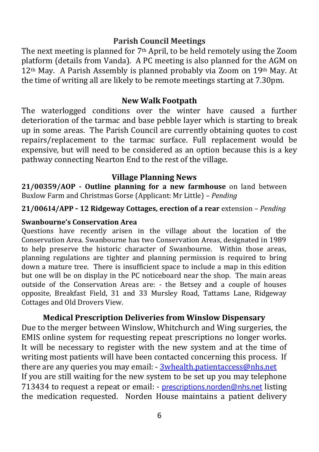#### **Parish Council Meetings**

The next meeting is planned for  $7<sup>th</sup>$  April, to be held remotely using the Zoom platform (details from Vanda). A PC meeting is also planned for the AGM on 12th May. A Parish Assembly is planned probably via Zoom on 19th May. At the time of writing all are likely to be remote meetings starting at 7.30pm.

#### **New Walk Footpath**

The waterlogged conditions over the winter have caused a further deterioration of the tarmac and base pebble layer which is starting to break up in some areas. The Parish Council are currently obtaining quotes to cost repairs/replacement to the tarmac surface. Full replacement would be expensive, but will need to be considered as an option because this is a key pathway connecting Nearton End to the rest of the village.

#### **Village Planning News**

**21/00359/AOP - Outline planning for a new farmhouse** on land between Buxlow Farm and Christmas Gorse (Applicant: Mr Little) – *Pending*

**21/00614/APP - 12 Ridgeway Cottages, erection of a rear** extension – *Pending*

#### **Swanbourne's Conservation Area**

Questions have recently arisen in the village about the location of the Conservation Area. Swanbourne has two Conservation Areas, designated in 1989 to help preserve the historic character of Swanbourne. Within those areas, planning regulations are tighter and planning permission is required to bring down a mature tree. There is insufficient space to include a map in this edition but one will be on display in the PC noticeboard near the shop. The main areas outside of the Conservation Areas are: - the Betsey and a couple of houses opposite, Breakfast Field, 31 and 33 Mursley Road, Tattams Lane, Ridgeway Cottages and Old Drovers View.

#### **Medical Prescription Deliveries from Winslow Dispensary**

Due to the merger between Winslow, Whitchurch and Wing surgeries, the EMIS online system for requesting repeat prescriptions no longer works. It will be necessary to register with the new system and at the time of writing most patients will have been contacted concerning this process. If there are any queries you may email: - [3whealth.patientaccess@nhs.net](mailto:3whealth.patientaccess@nhs.net) If you are still waiting for the new system to be set up you may telephone 713434 to request a repeat or email: - [prescriptions.norden@nhs.net](mailto:prescriptions.norden@nhs.net) listing the medication requested. Norden House maintains a patient delivery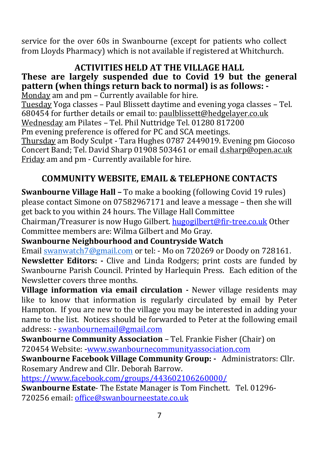service for the over 60s in Swanbourne (except for patients who collect from Lloyds Pharmacy) which is not available if registered at Whitchurch.

#### **ACTIVITIES HELD AT THE VILLAGE HALL These are largely suspended due to Covid 19 but the general pattern (when things return back to normal) is as follows: -**

Monday am and pm - Currently available for hire. Tuesday Yoga classes – Paul Blissett daytime and evening yoga classes – Tel. 680454 for further details or email to[: paulblissett@hedgelayer.co.uk](mailto:paulblissett@hedgelayer.co.uk) Wednesday am Pilates – Tel. Phil Nuttridge Tel. 01280 817200 Pm evening preference is offered for PC and SCA meetings. Thursday am Body Sculpt - Tara Hughes 0787 2449019. Evening pm Giocoso Concert Band; Tel. David Sharp 01908 503461 or emai[l d.sharp@open.ac.uk](mailto:d.sharp@open.ac.uk) Friday am and pm - Currently available for hire.

## **COMMUNITY WEBSITE, EMAIL & TELEPHONE CONTACTS**

**Swanbourne Village Hall –** To make a booking (following Covid 19 rules) please contact Simone on 07582967171 and leave a message – then she will get back to you within 24 hours. The Village Hall Committee Chairman/Treasurer is now Hugo Gilbert[. hugogilbert@fir-tree.co.uk](mailto:hugogilbert@fir-tree.co.uk) Other Committee members are: Wilma Gilbert and Mo Gray.

**Swanbourne Neighbourhood and Countryside Watch**

Email [swanwatch7@gmail.com](mailto:swanwatch7@gmail.com) or tel: - Mo on 720269 or Doody on 728161. **Newsletter Editors: -** Clive and Linda Rodgers; print costs are funded by Swanbourne Parish Council. Printed by Harlequin Press. Each edition of the Newsletter covers three months.

**Village information via email circulation** *-* Newer village residents may like to know that information is regularly circulated by email by Peter Hampton. If you are new to the village you may be interested in adding your name to the list. Notices should be forwarded to Peter at the following email address: - [swanbournemail@gmail.com](mailto:swanbournemail@gmail.com)

**Swanbourne Community Association** – Tel. Frankie Fisher (Chair) on 720454 Website: [-www.swanbournecommunityassociation.com](http://www.swanbournecommunityassociation.com/)

**Swanbourne Facebook Village Community Group: -** Administrators: Cllr. Rosemary Andrew and Cllr. Deborah Barrow.

<https://www.facebook.com/groups/443602106260000/>

**Swanbourne Estate**- The Estate Manager is Tom Finchett. Tel. 01296- 720256 email[: office@swanbourneestate.co.uk](mailto:office@swanbourneestate.co.uk)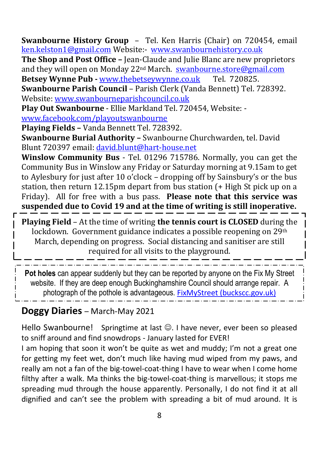**Swanbourne History Group** – Tel. Ken Harris (Chair) on 720454, email [ken.kelston1@gmail.com](mailto:ken.kelston1@gmail.com) Website:- [www.swanbournehistory.co.uk](http://www.swanbournehistory.co.uk/)

**The Shop and Post Office –** Jean-Claude and Julie Blanc are new proprietors and they will open on Monday 22nd March. [swanbourne.store@gmail.com](mailto:swanbourne.store@gmail.com) **Betsey Wynne Pub -** [www.thebetseywynne.co.uk](http://www.thebetseywynne.co.uk/) Tel. 720825.

**Swanbourne Parish Council** – Parish Clerk (Vanda Bennett) Tel. 728392. Website: [www.swanbourneparishcouncil.co.uk](http://www.swanbourneparishcouncil.co.uk/)

**Play Out Swanbourne** - Ellie Markland Tel. 720454, Website: [www.facebook.com/playoutswanbourne](http://www.facebook.com/playoutswanbourne)

**Playing Fields –** Vanda Bennett Tel. 728392.

**Swanbourne Burial Authority –** Swanbourne Churchwarden, tel. David Blunt 720397 email: [david.blunt@hart-house.net](mailto:david.blunt@hart-house.net)

**Winslow Community Bus** - Tel. 01296 715786. Normally, you can get the Community Bus in Winslow any Friday or Saturday morning at 9.15am to get to Aylesbury for just after 10 o'clock – dropping off by Sainsbury's or the bus station, then return 12.15pm depart from bus station (+ High St pick up on a Friday). All for free with a bus pass. **Please note that this service was suspended due to Covid 19 and at the time of writing is still inoperative.**

**Playing Field** – At the time of writing **the tennis court is CLOSED** during the lockdown. Government guidance indicates a possible reopening on 29<sup>th</sup> March, depending on progress. Social distancing and sanitiser are still required for all visits to the playground.

**Pot holes** can appear suddenly but they can be reported by anyone on the Fix My Street website. If they are deep enough Buckinghamshire Council should arrange repair. A photograph of the pothole is advantageous. [FixMyStreet \(buckscc.gov.uk\)](https://www.fixmystreet.buckscc.gov.uk/)

## **Doggy Diaries** – March-May 2021

Hello Swanbourne! Springtime at last  $\odot$ . I have never, ever been so pleased to sniff around and find snowdrops - January lasted for EVER!

I am hoping that soon it won't be quite as wet and muddy; I'm not a great one for getting my feet wet, don't much like having mud wiped from my paws, and really am not a fan of the big-towel-coat-thing I have to wear when I come home filthy after a walk. Ma thinks the big-towel-coat-thing is marvellous; it stops me spreading mud through the house apparently. Personally, I do not find it at all dignified and can't see the problem with spreading a bit of mud around. It is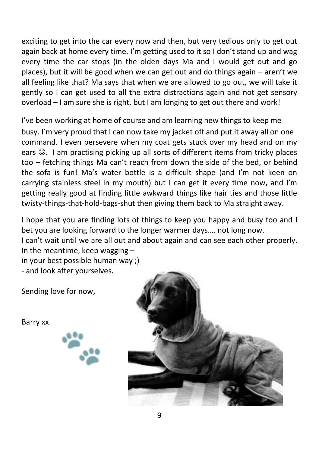exciting to get into the car every now and then, but very tedious only to get out again back at home every time. I'm getting used to it so I don't stand up and wag every time the car stops (in the olden days Ma and I would get out and go places), but it will be good when we can get out and do things again – aren't we all feeling like that? Ma says that when we are allowed to go out, we will take it gently so I can get used to all the extra distractions again and not get sensory overload – I am sure she is right, but I am longing to get out there and work!

I've been working at home of course and am learning new things to keep me busy. I'm very proud that I can now take my jacket off and put it away all on one command. I even persevere when my coat gets stuck over my head and on my ears  $\odot$ . I am practising picking up all sorts of different items from tricky places too – fetching things Ma can't reach from down the side of the bed, or behind the sofa is fun! Ma's water bottle is a difficult shape (and I'm not keen on carrying stainless steel in my mouth) but I can get it every time now, and I'm getting really good at finding little awkward things like hair ties and those little twisty-things-that-hold-bags-shut then giving them back to Ma straight away.

I hope that you are finding lots of things to keep you happy and busy too and I bet you are looking forward to the longer warmer days…. not long now.

I can't wait until we are all out and about again and can see each other properly. In the meantime, keep wagging –

in your best possible human way ;) - and look after yourselves.

Sending love for now,

Barry xx

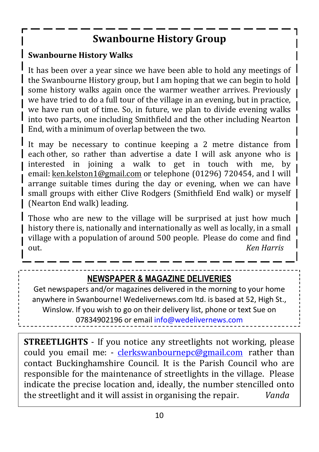## **Swanbourne History Group**

## **Swanbourne History Walks**

It has been over a year since we have been able to hold any meetings of the Swanbourne History group, but I am hoping that we can begin to hold some history walks again once the warmer weather arrives. Previously we have tried to do a full tour of the village in an evening, but in practice, we have run out of time. So, in future, we plan to divide evening walks into two parts, one including Smithfield and the other including Nearton End, with a minimum of overlap between the two.

It may be necessary to continue keeping a 2 metre distance from each other, so rather than advertise a date I will ask anyone who is | interested in joining a walk to get in touch with me, by email: [ken.kelston1@gmail.com](mailto:ken.kelston1@gmail.com) or telephone (01296) 720454, and I will arrange suitable times during the day or evening, when we can have small groups with either Clive Rodgers (Smithfield End walk) or myself | (Nearton End walk) leading.

Those who are new to the village will be surprised at just how much | history there is, nationally and internationally as well as locally, in a small village with a population of around 500 people. Please do come and find out. *Ken Harris*

## **NEWSPAPER & MAGAZINE DELIVERIES**

Get newspapers and/or magazines delivered in the morning to your home anywhere in Swanbourne! Wedelivernews.com ltd. is based at 52, High St., Winslow. If you wish to go on their delivery list, phone or text Sue on 07834902196 or email [info@wedelivernews.com](mailto:info@wedelivernews.com)

**STREETLIGHTS** - If you notice any streetlights not working, please could you email me: - [clerkswanbournepc@gmail.com](mailto:clerkswanbournepc@gmail.com) rather than contact Buckinghamshire Council. It is the Parish Council who are responsible for the maintenance of streetlights in the village. Please indicate the precise location and, ideally, the number stencilled onto the streetlight and it will assist in organising the repair. *Vanda*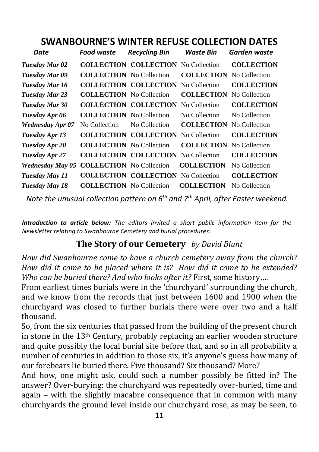## **SWANBOURNE'S WINTER REFUSE COLLECTION DATES**

| Date                    | <b>Food waste</b>               | <b>Recycling Bin</b>                       | Waste Bin         | Garden waste      |
|-------------------------|---------------------------------|--------------------------------------------|-------------------|-------------------|
| Tuesday Mar 02          |                                 | <b>COLLECTION COLLECTION</b>               | No Collection     | <b>COLLECTION</b> |
| Tuesday Mar 09          | <b>COLLECTION</b> No Collection |                                            | <b>COLLECTION</b> | No Collection     |
| Tuesday Mar 16          |                                 | <b>COLLECTION COLLECTION</b>               | No Collection     | <b>COLLECTION</b> |
| <b>Tuesday Mar 23</b>   | <b>COLLECTION</b> No Collection |                                            | <b>COLLECTION</b> | No Collection     |
| Tuesday Mar 30          |                                 | <b>COLLECTION COLLECTION</b>               | No Collection     | <b>COLLECTION</b> |
| Tuesday Apr 06          | <b>COLLECTION</b> No Collection |                                            | No Collection     | No Collection     |
| <b>Wednesday Apr 07</b> | No Collection                   | No Collection                              | <b>COLLECTION</b> | No Collection     |
| Tuesday Apr 13          |                                 | <b>COLLECTION COLLECTION</b>               | No Collection     | <b>COLLECTION</b> |
| Tuesday Apr 20          | <b>COLLECTION</b> No Collection |                                            | <b>COLLECTION</b> | No Collection     |
| Tuesday Apr 27          |                                 | <b>COLLECTION COLLECTION</b>               | No Collection     | <b>COLLECTION</b> |
| <b>Wednesday May 05</b> | <b>COLLECTION</b> No Collection |                                            | <b>COLLECTION</b> | No Collection     |
| Tuesday May 11          |                                 | <b>COLLECTION COLLECTION</b> No Collection |                   | <b>COLLECTION</b> |
| Tuesday May 18          | <b>COLLECTION</b> No Collection |                                            | <b>COLLECTION</b> | No Collection     |

*Note the unusual collection pattern on 6th and 7th April, after Easter weekend.*

*Introduction to article below: The editors invited a short public information item for the Newsletter relating to Swanbourne Cemetery and burial procedures:*

## **The Story of our Cemetery** *by David Blunt*

*How did Swanbourne come to have a church cemetery away from the church? How did it come to be placed where it is? How did it come to be extended? Who can be buried there? And who looks after it?* First, some history….

From earliest times burials were in the 'churchyard' surrounding the church, and we know from the records that just between 1600 and 1900 when the churchyard was closed to further burials there were over two and a half thousand.

So, from the six centuries that passed from the building of the present church in stone in the 13th Century, probably replacing an earlier wooden structure and quite possibly the local burial site before that, and so in all probability a number of centuries in addition to those six, it's anyone's guess how many of our forebears lie buried there. Five thousand? Six thousand? More?

And how, one might ask, could such a number possibly be fitted in? The answer? Over-burying: the churchyard was repeatedly over-buried, time and again – with the slightly macabre consequence that in common with many churchyards the ground level inside our churchyard rose, as may be seen, to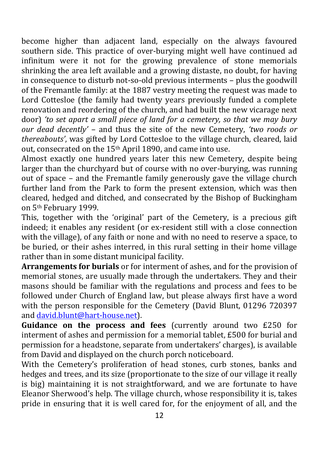become higher than adjacent land, especially on the always favoured southern side. This practice of over-burying might well have continued ad infinitum were it not for the growing prevalence of stone memorials shrinking the area left available and a growing distaste, no doubt, for having in consequence to disturb not-so-old previous interments – plus the goodwill of the Fremantle family: at the 1887 vestry meeting the request was made to Lord Cottesloe (the family had twenty years previously funded a complete renovation and reordering of the church, and had built the new vicarage next door) *'to set apart a small piece of land for a cemetery, so that we may bury our dead decently'* – and thus the site of the new Cemetery, *'two roods or thereabouts'*, was gifted by Lord Cottesloe to the village church, cleared, laid out, consecrated on the 15th April 1890, and came into use.

Almost exactly one hundred years later this new Cemetery, despite being larger than the churchyard but of course with no over-burying, was running out of space – and the Fremantle family generously gave the village church further land from the Park to form the present extension, which was then cleared, hedged and ditched, and consecrated by the Bishop of Buckingham on 5th February 1999.

This, together with the 'original' part of the Cemetery, is a precious gift indeed; it enables any resident (or ex-resident still with a close connection with the village), of any faith or none and with no need to reserve a space, to be buried, or their ashes interred, in this rural setting in their home village rather than in some distant municipal facility.

**Arrangements for burials** or for interment of ashes, and for the provision of memorial stones, are usually made through the undertakers. They and their masons should be familiar with the regulations and process and fees to be followed under Church of England law, but please always first have a word with the person responsible for the Cemetery (David Blunt, 01296 720397 and [david.blunt@hart-house.net\)](mailto:david.blunt@hart-house.net).

**Guidance on the process and fees** (currently around two £250 for interment of ashes and permission for a memorial tablet, £500 for burial and permission for a headstone, separate from undertakers' charges), is available from David and displayed on the church porch noticeboard.

With the Cemetery's proliferation of head stones, curb stones, banks and hedges and trees, and its size (proportionate to the size of our village it really is big) maintaining it is not straightforward, and we are fortunate to have Eleanor Sherwood's help. The village church, whose responsibility it is, takes pride in ensuring that it is well cared for, for the enjoyment of all, and the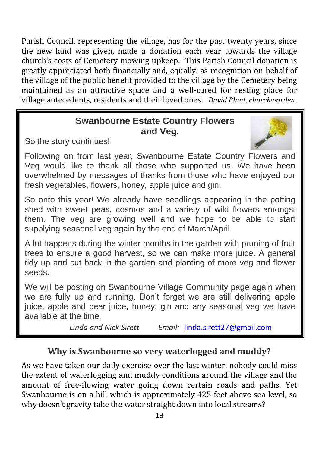Parish Council, representing the village, has for the past twenty years, since the new land was given, made a donation each year towards the village church's costs of Cemetery mowing upkeep. This Parish Council donation is greatly appreciated both financially and, equally, as recognition on behalf of the village of the public benefit provided to the village by the Cemetery being maintained as an attractive space and a well-cared for resting place for village antecedents, residents and their loved ones. *David Blunt, churchwarden*.

## **Swanbourne Estate Country Flowers and Veg.**

So the story continues!



Following on from last year, Swanbourne Estate Country Flowers and Veg would like to thank all those who supported us. We have been overwhelmed by messages of thanks from those who have enjoyed our fresh vegetables, flowers, honey, apple juice and gin.

So onto this year! We already have seedlings appearing in the potting shed with sweet peas, cosmos and a variety of wild flowers amongst them. The veg are growing well and we hope to be able to start supplying seasonal veg again by the end of March/April.

A lot happens during the winter months in the garden with pruning of fruit trees to ensure a good harvest, so we can make more juice. A general tidy up and cut back in the garden and planting of more veg and flower seeds.

We will be posting on Swanbourne Village Community page again when we are fully up and running. Don't forget we are still delivering apple juice, apple and pear juice, honey, gin and any seasonal veg we have available at the time.

*Linda and Nick Sirett Email:* [linda.sirett27@gmail.com](mailto:linda.sirett27@gmail.com)

## **Why is Swanbourne so very waterlogged and muddy?**

As we have taken our daily exercise over the last winter, nobody could miss the extent of waterlogging and muddy conditions around the village and the amount of free-flowing water going down certain roads and paths. Yet Swanbourne is on a hill which is approximately 425 feet above sea level, so why doesn't gravity take the water straight down into local streams?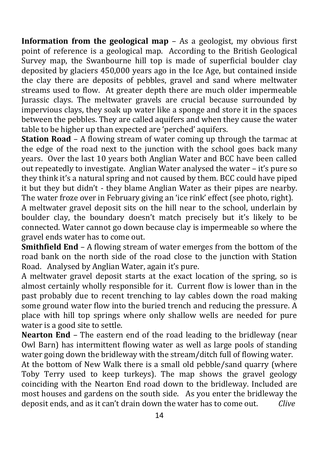**Information from the geological map** – As a geologist, my obvious first point of reference is a geological map. According to the British Geological Survey map, the Swanbourne hill top is made of superficial boulder clay deposited by glaciers 450,000 years ago in the Ice Age, but contained inside the clay there are deposits of pebbles, gravel and sand where meltwater streams used to flow. At greater depth there are much older impermeable Jurassic clays. The meltwater gravels are crucial because surrounded by impervious clays, they soak up water like a sponge and store it in the spaces between the pebbles. They are called aquifers and when they cause the water table to be higher up than expected are 'perched' aquifers.

**Station Road** – A flowing stream of water coming up through the tarmac at the edge of the road next to the junction with the school goes back many years. Over the last 10 years both Anglian Water and BCC have been called out repeatedly to investigate. Anglian Water analysed the water – it's pure so they think it's a natural spring and not caused by them. BCC could have piped it but they but didn't - they blame Anglian Water as their pipes are nearby. The water froze over in February giving an 'ice rink' effect (see photo, right).

A meltwater gravel deposit sits on the hill near to the school, underlain by boulder clay, the boundary doesn't match precisely but it's likely to be connected. Water cannot go down because clay is impermeable so where the gravel ends water has to come out.

**Smithfield End** – A flowing stream of water emerges from the bottom of the road bank on the north side of the road close to the junction with Station Road. Analysed by Anglian Water, again it's pure.

A meltwater gravel deposit starts at the exact location of the spring, so is almost certainly wholly responsible for it. Current flow is lower than in the past probably due to recent trenching to lay cables down the road making some ground water flow into the buried trench and reducing the pressure. A place with hill top springs where only shallow wells are needed for pure water is a good site to settle.

**Nearton End** – The eastern end of the road leading to the bridleway (near Owl Barn) has intermittent flowing water as well as large pools of standing water going down the bridleway with the stream/ditch full of flowing water.

At the bottom of New Walk there is a small old pebble/sand quarry (where Toby Terry used to keep turkeys). The map shows the gravel geology coinciding with the Nearton End road down to the bridleway. Included are most houses and gardens on the south side. As you enter the bridleway the deposit ends, and as it can't drain down the water has to come out. *Clive*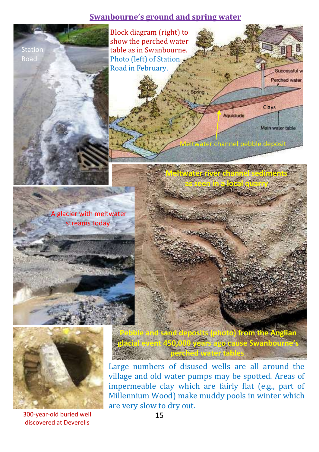#### **Swanbourne's ground and spring water**



300-year-old buried well discovered at Deverells

Large numbers of disused wells are all around the village and old water pumps may be spotted. Areas of impermeable clay which are fairly flat (e.g., part of Millennium Wood) make muddy pools in winter which are very slow to dry out.